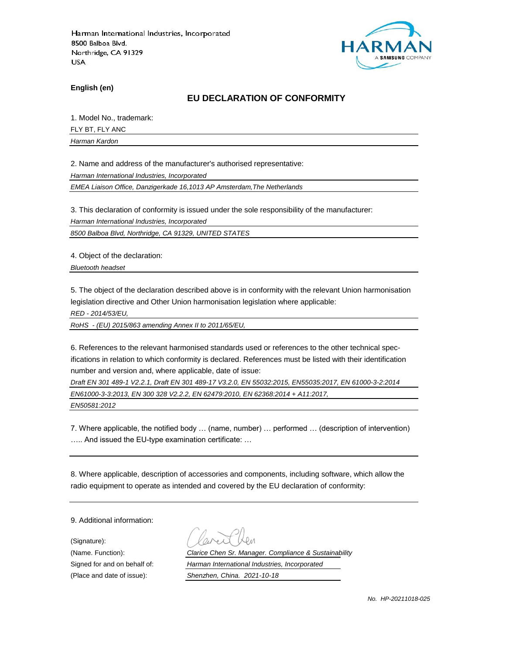

**English (en)**

#### **EU DECLARATION OF CONFORMITY**

1. Model No., trademark:

FLY BT, FLY ANC

*Harman Kardon*

2. Name and address of the manufacturer's authorised representative:

*Harman International Industries, Incorporated*

*EMEA Liaison Office, Danzigerkade 16,1013 AP Amsterdam,The Netherlands*

3. This declaration of conformity is issued under the sole responsibility of the manufacturer:

*Harman International Industries, Incorporated*

*8500 Balboa Blvd, Northridge, CA 91329, UNITED STATES*

4. Object of the declaration:

*Bluetooth headset*

5. The object of the declaration described above is in conformity with the relevant Union harmonisation legislation directive and Other Union harmonisation legislation where applicable:

*RED - 2014/53/EU,*

*RoHS - (EU) 2015/863 amending Annex II to 2011/65/EU,*

6. References to the relevant harmonised standards used or references to the other technical specifications in relation to which conformity is declared. References must be listed with their identification number and version and, where applicable, date of issue:

*Draft EN 301 489-1 V2.2.1, Draft EN 301 489-17 V3.2.0, EN 55032:2015, EN55035:2017, EN 61000-3-2:2014 EN61000-3-3:2013, EN 300 328 V2.2.2, EN 62479:2010, EN 62368:2014 + A11:2017, EN50581:2012*

7. Where applicable, the notified body … (name, number) … performed … (description of intervention) ….. And issued the EU-type examination certificate: …

8. Where applicable, description of accessories and components, including software, which allow the radio equipment to operate as intended and covered by the EU declaration of conformity:

9. Additional information:

(Signature):

(Name. Function): *Clarice Chen Sr. Manager. Compliance & Sustainability* Signed for and on behalf of: *Harman International Industries, Incorporated* (Place and date of issue): *Shenzhen, China. 2021-10-18*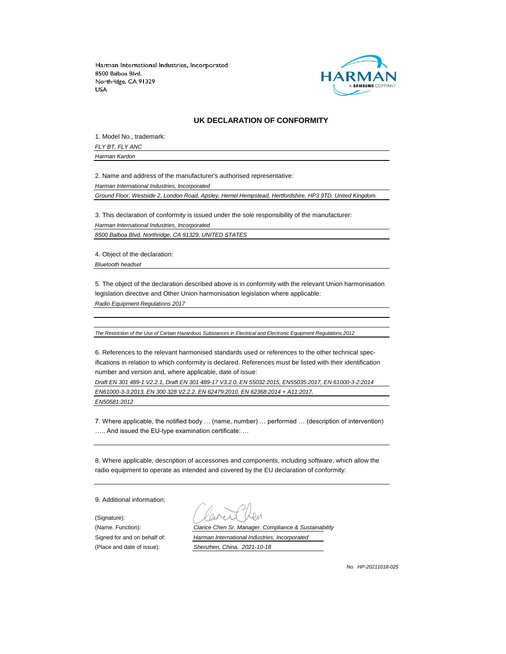

#### **UK DECLARATION OF CONFORMITY**

1. Model No., trademark:

*FLY BT, FLY ANC Harman Kardon*

2. Name and address of the manufacturer's authorised representative:

*Harman International Industries, Incorporated*

*Ground Floor, Westside 2, London Road, Apsley, Hemel Hempstead, Hertfordshire, HP3 9TD, United Kingdom.*

3. This declaration of conformity is issued under the sole responsibility of the manufacturer: *Harman International Industries, Incorporated 8500 Balboa Blvd, Northridge, CA 91329, UNITED STATES*

4. Object of the declaration:

*Bluetooth headset*

5. The object of the declaration described above is in conformity with the relevant Union harmonisation legislation directive and Other Union harmonisation legislation where applicable:

*Radio Equipment Regulations 2017*

*The Restriction of the Use of Certain Hazardous Substances in Electrical and Electronic Equipment Regulations 2012*

6. References to the relevant harmonised standards used or references to the other technical specifications in relation to which conformity is declared. References must be listed with their identification number and version and, where applicable, date of issue:

*Draft EN 301 489-1 V2.2.1, Draft EN 301 489-17 V3.2.0, EN 55032:2015, EN55035:2017, EN 61000-3-2:2014 EN61000-3-3:2013, EN 300 328 V2.2.2, EN 62479:2010, EN 62368:2014 + A11:2017, EN50581:2012*

7. Where applicable, the notified body … (name, number) … performed … (description of intervention) ….. And issued the EU-type examination certificate: …

8. Where applicable, description of accessories and components, including software, which allow the radio equipment to operate as intended and covered by the EU declaration of conformity:

9. Additional information:

(Signature):

(Name. Function): *Clarice Chen Sr. Manager. Compliance & Sustainability* Signed for and on behalf of: *Harman International Industries, Incorporated* (Place and date of issue): *Shenzhen, China. 2021-10-18*

*No. HP-20211018-025*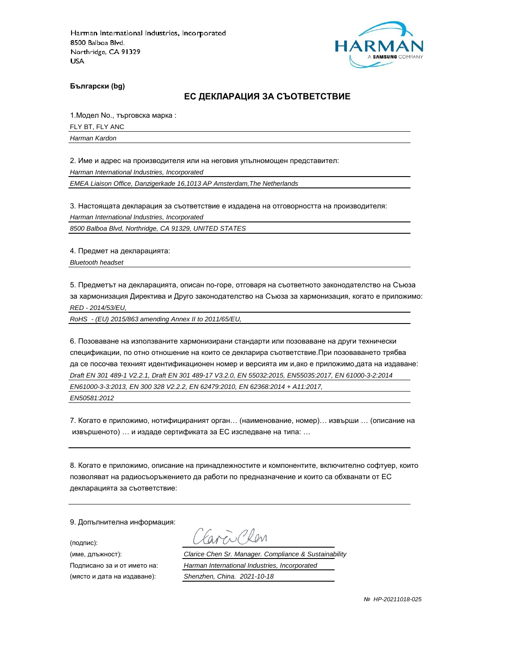

**Български (bg)**

#### **ЕС ДЕКЛАРАЦИЯ ЗА СЪОТВЕТСТВИЕ**

1.Модел No., търговска марка :

FLY BT, FLY ANC

*Harman Kardon*

2. Име и адрес на производителя или на неговия упълномощен представител:

*Harman International Industries, Incorporated*

*EMEA Liaison Office, Danzigerkade 16,1013 AP Amsterdam,The Netherlands*

3. Настоящата декларация за съответствие е издадена на отговорността на производителя:

*Harman International Industries, Incorporated*

*8500 Balboa Blvd, Northridge, CA 91329, UNITED STATES*

4. Предмет на декларацията:

*Bluetooth headset*

5. Предметът на декларацията, описан по-горе, отговаря на съответното законодателство на Съюза за хармонизация Директива и Друго законодателство на Съюза за хармонизация, когато е приложимо: *RED - 2014/53/EU,*

*RoHS - (EU) 2015/863 amending Annex II to 2011/65/EU,*

6. Позоваване на използваните хармонизирани стандарти или позоваване на други технически спецификации, по отно отношение на които се декларира съответствие.При позоваването трябва да се посочва техният идентификационен номер и версията им и,ако е приложимо,дата на издаване: *Draft EN 301 489-1 V2.2.1, Draft EN 301 489-17 V3.2.0, EN 55032:2015, EN55035:2017, EN 61000-3-2:2014 EN61000-3-3:2013, EN 300 328 V2.2.2, EN 62479:2010, EN 62368:2014 + A11:2017, EN50581:2012*

7. Когато е приложимо, нотифицираният орган… (наименование, номер)… извърши … (описание на извършеното) … и издаде сертификата за ЕС изследване на типа: …

8. Когато е приложимо, описание на принадлежностите и компонентите, включително софтуер, които позволяват на радиосъоръжението да работи по предназначение и които са обхванати от ЕС декларацията за съответствие:

9. Допълнителна информация:

(подпис):

(място и дата на издаване): *Shenzhen, China. 2021-10-18*

aren Chen

(име, длъжност): *Clarice Chen Sr. Manager. Compliance & Sustainability*

Подписано за и от името на: *Harman International Industries, Incorporated*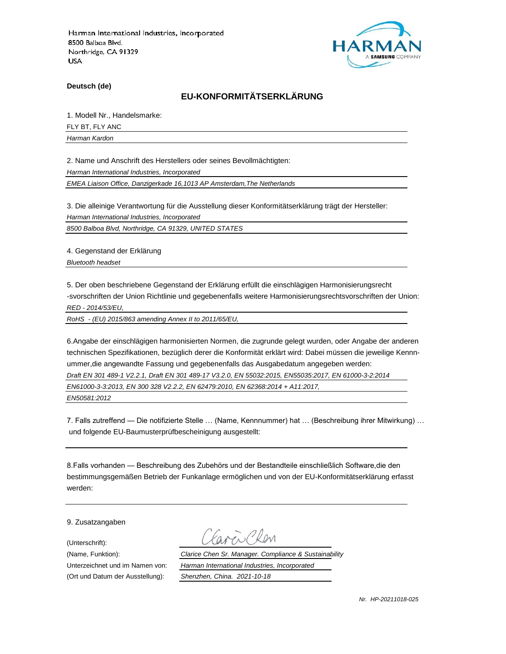

**Deutsch (de)**

# **EU-KONFORMITÄTSERKLÄRUNG**

1. Modell Nr., Handelsmarke:

FLY BT, FLY ANC

*Harman Kardon*

2. Name und Anschrift des Herstellers oder seines Bevollmächtigten:

*Harman International Industries, Incorporated*

*EMEA Liaison Office, Danzigerkade 16,1013 AP Amsterdam,The Netherlands*

3. Die alleinige Verantwortung für die Ausstellung dieser Konformitätserklärung trägt der Hersteller:

*Harman International Industries, Incorporated*

*8500 Balboa Blvd, Northridge, CA 91329, UNITED STATES*

4. Gegenstand der Erklärung

*Bluetooth headset*

5. Der oben beschriebene Gegenstand der Erklärung erfüllt die einschlägigen Harmonisierungsrecht -svorschriften der Union Richtlinie und gegebenenfalls weitere Harmonisierungsrechtsvorschriften der Union: *RED - 2014/53/EU,*

*RoHS - (EU) 2015/863 amending Annex II to 2011/65/EU,*

6.Angabe der einschlägigen harmonisierten Normen, die zugrunde gelegt wurden, oder Angabe der anderen technischen Spezifikationen, bezüglich derer die Konformität erklärt wird: Dabei müssen die jeweilige Kennnummer,die angewandte Fassung und gegebenenfalls das Ausgabedatum angegeben werden: *Draft EN 301 489-1 V2.2.1, Draft EN 301 489-17 V3.2.0, EN 55032:2015, EN55035:2017, EN 61000-3-2:2014 EN61000-3-3:2013, EN 300 328 V2.2.2, EN 62479:2010, EN 62368:2014 + A11:2017, EN50581:2012*

7. Falls zutreffend — Die notifizierte Stelle … (Name, Kennnummer) hat … (Beschreibung ihrer Mitwirkung) … und folgende EU-Baumusterprüfbescheinigung ausgestellt:

8.Falls vorhanden — Beschreibung des Zubehörs und der Bestandteile einschließlich Software,die den bestimmungsgemäßen Betrieb der Funkanlage ermöglichen und von der EU-Konformitätserklärung erfasst werden:

9. Zusatzangaben

(Unterschrift):

(Name, Funktion): *Clarice Chen Sr. Manager. Compliance & Sustainability* Unterzeichnet und im Namen von: *Harman International Industries, Incorporated* (Ort und Datum der Ausstellung): *Shenzhen, China. 2021-10-18*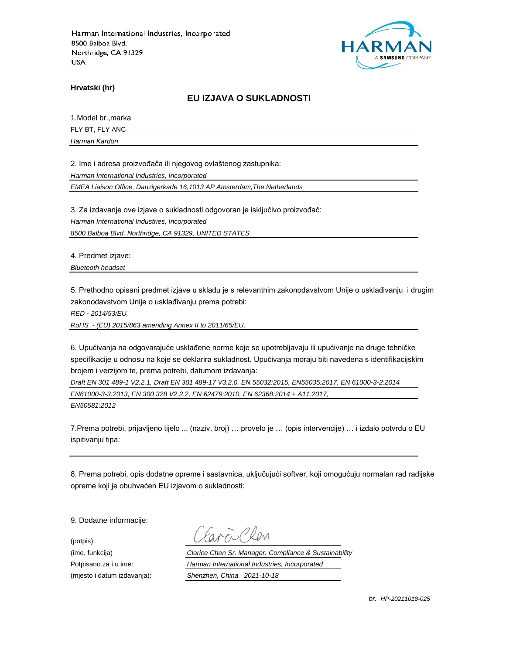

**Hrvatski (hr)**

#### **EU IZJAVA O SUKLADNOSTI**

1.Model br.,marka

FLY BT, FLY ANC

*Harman Kardon*

2. Ime i adresa proizvođača ili njegovog ovlaštenog zastupnika:

*Harman International Industries, Incorporated*

*EMEA Liaison Office, Danzigerkade 16,1013 AP Amsterdam,The Netherlands*

3. Za izdavanje ove izjave o sukladnosti odgovoran je isključivo proizvođač:

*Harman International Industries, Incorporated*

*8500 Balboa Blvd, Northridge, CA 91329, UNITED STATES*

4. Predmet izjave:

*Bluetooth headset*

5. Prethodno opisani predmet izjave u skladu je s relevantnim zakonodavstvom Unije o usklađivanju i drugim zakonodavstvom Unije o usklađivanju prema potrebi:

*RED - 2014/53/EU,*

*RoHS - (EU) 2015/863 amending Annex II to 2011/65/EU,*

6. Upućivanja na odgovarajuće usklađene norme koje se upotrebljavaju ili upućivanje na druge tehničke specifikacije u odnosu na koje se deklarira sukladnost. Upućivanja moraju biti navedena s identifikacijskim brojem i verzijom te, prema potrebi, datumom izdavanja:

*Draft EN 301 489-1 V2.2.1, Draft EN 301 489-17 V3.2.0, EN 55032:2015, EN55035:2017, EN 61000-3-2:2014 EN61000-3-3:2013, EN 300 328 V2.2.2, EN 62479:2010, EN 62368:2014 + A11:2017,* 

*EN50581:2012*

7.Prema potrebi, prijavljeno tijelo ... (naziv, broj) … provelo je … (opis intervencije) … i izdalo potvrdu o EU ispitivanju tipa:

8. Prema potrebi, opis dodatne opreme i sastavnica, uključujući softver, koji omogućuju normalan rad radijske opreme koji je obuhvaćen EU izjavom o sukladnosti:

9. Dodatne informacije:

(potpis):

(ime, funkcija) *Clarice Chen Sr. Manager. Compliance & Sustainability* Potpisano za i u ime: *Harman International Industries, Incorporated* (mjesto i datum izdavanja): *Shenzhen, China. 2021-10-18*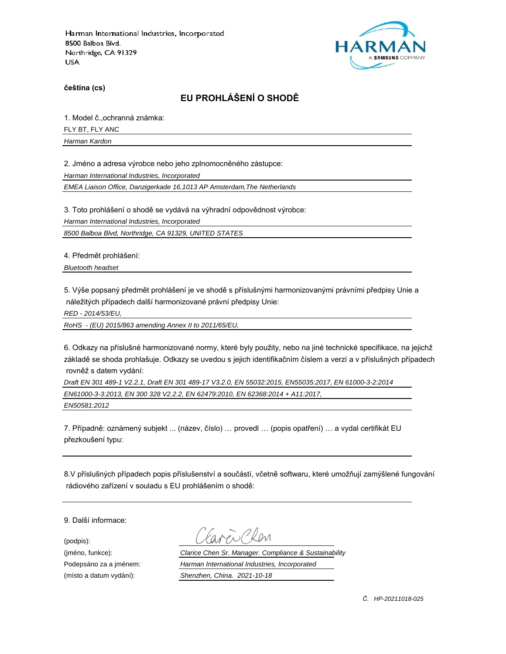

**čeština (cs)**

# **EU PROHLÁŠENÍ O SHODĚ**

1. Model č.,ochranná známka: FLY BT, FLY ANC

*Harman Kardon*

2. Jméno a adresa výrobce nebo jeho zplnomocněného zástupce:

*Harman International Industries, Incorporated*

*EMEA Liaison Office, Danzigerkade 16,1013 AP Amsterdam,The Netherlands*

3. Toto prohlášení o shodě se vydává na výhradní odpovědnost výrobce:

*Harman International Industries, Incorporated*

*8500 Balboa Blvd, Northridge, CA 91329, UNITED STATES*

4. Předmět prohlášení:

*Bluetooth headset*

5. Výše popsaný předmět prohlášení je ve shodě s příslušnými harmonizovanými právními předpisy Unie a náležitých případech další harmonizované právní předpisy Unie:

*RED - 2014/53/EU,*

*RoHS - (EU) 2015/863 amending Annex II to 2011/65/EU,*

6. Odkazy na příslušné harmonizované normy, které byly použity, nebo na jiné technické specifikace, na jejichž základě se shoda prohlašuje. Odkazy se uvedou s jejich identifikačním číslem a verzí a v příslušných případech rovněž s datem vydání:

*Draft EN 301 489-1 V2.2.1, Draft EN 301 489-17 V3.2.0, EN 55032:2015, EN55035:2017, EN 61000-3-2:2014 EN61000-3-3:2013, EN 300 328 V2.2.2, EN 62479:2010, EN 62368:2014 + A11:2017, EN50581:2012*

7. Případně: oznámený subjekt ... (název, číslo) … provedl … (popis opatření) … a vydal certifikát EU přezkoušení typu:

8.V příslušných případech popis příslušenství a součástí, včetně softwaru, které umožňují zamýšlené fungování rádiového zařízení v souladu s EU prohlášením o shodě:

9. Další informace:

(podpis):

(jméno, funkce): *Clarice Chen Sr. Manager. Compliance & Sustainability* Podepsáno za a jménem: *Harman International Industries, Incorporated* (místo a datum vydání): *Shenzhen, China. 2021-10-18*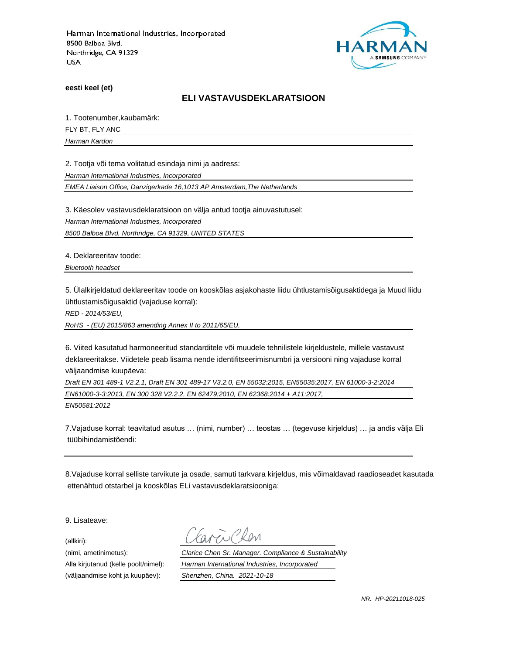

**eesti keel (et)**

#### **ELI VASTAVUSDEKLARATSIOON**

1. Tootenumber,kaubamärk:

FLY BT, FLY ANC

*Harman Kardon*

2. Tootja või tema volitatud esindaja nimi ja aadress:

*Harman International Industries, Incorporated*

*EMEA Liaison Office, Danzigerkade 16,1013 AP Amsterdam,The Netherlands*

3. Käesolev vastavusdeklaratsioon on välja antud tootja ainuvastutusel:

*Harman International Industries, Incorporated*

*8500 Balboa Blvd, Northridge, CA 91329, UNITED STATES*

4. Deklareeritav toode:

*Bluetooth headset*

5. Ülalkirjeldatud deklareeritav toode on kooskõlas asjakohaste liidu ühtlustamisõigusaktidega ja Muud liidu ühtlustamisõigusaktid (vajaduse korral):

*RED - 2014/53/EU,*

*RoHS - (EU) 2015/863 amending Annex II to 2011/65/EU,*

6. Viited kasutatud harmoneeritud standarditele või muudele tehnilistele kirjeldustele, millele vastavust deklareeritakse. Viidetele peab lisama nende identifitseerimisnumbri ja versiooni ning vajaduse korral väljaandmise kuupäeva:

*Draft EN 301 489-1 V2.2.1, Draft EN 301 489-17 V3.2.0, EN 55032:2015, EN55035:2017, EN 61000-3-2:2014 EN61000-3-3:2013, EN 300 328 V2.2.2, EN 62479:2010, EN 62368:2014 + A11:2017, EN50581:2012*

7.Vajaduse korral: teavitatud asutus … (nimi, number) … teostas … (tegevuse kirjeldus) … ja andis välja Eli tüübihindamistõendi:

8.Vajaduse korral selliste tarvikute ja osade, samuti tarkvara kirjeldus, mis võimaldavad raadioseadet kasutada ettenähtud otstarbel ja kooskõlas ELi vastavusdeklaratsiooniga:

9. Lisateave:

(allkiri):

(nimi, ametinimetus): *Clarice Chen Sr. Manager. Compliance & Sustainability* Alla kirjutanud (kelle poolt/nimel): *Harman International Industries, Incorporated* (väljaandmise koht ja kuupäev): *Shenzhen, China. 2021-10-18*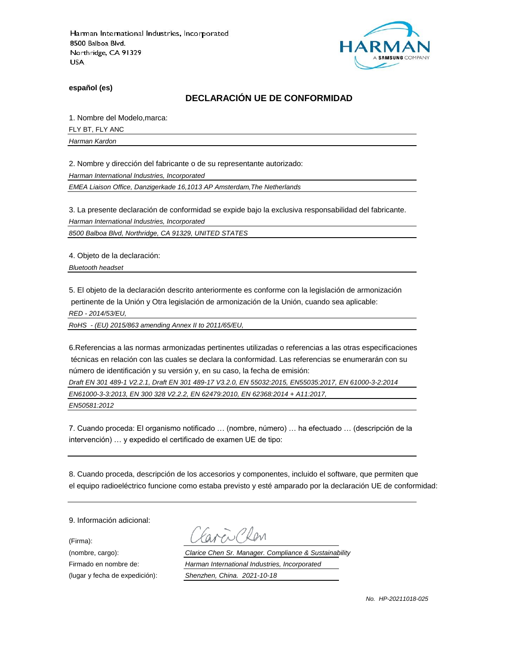

**español (es)**

### **DECLARACIÓN UE DE CONFORMIDAD**

1. Nombre del Modelo,marca:

FLY BT, FLY ANC

*Harman Kardon*

2. Nombre y dirección del fabricante o de su representante autorizado:

*Harman International Industries, Incorporated*

*EMEA Liaison Office, Danzigerkade 16,1013 AP Amsterdam,The Netherlands*

3. La presente declaración de conformidad se expide bajo la exclusiva responsabilidad del fabricante.

*Harman International Industries, Incorporated*

*8500 Balboa Blvd, Northridge, CA 91329, UNITED STATES*

4. Objeto de la declaración:

*Bluetooth headset*

5. El objeto de la declaración descrito anteriormente es conforme con la legislación de armonización pertinente de la Unión y Otra legislación de armonización de la Unión, cuando sea aplicable:

*RED - 2014/53/EU,*

*RoHS - (EU) 2015/863 amending Annex II to 2011/65/EU,*

6.Referencias a las normas armonizadas pertinentes utilizadas o referencias a las otras especificaciones técnicas en relación con las cuales se declara la conformidad. Las referencias se enumerarán con su número de identificación y su versión y, en su caso, la fecha de emisión:

*Draft EN 301 489-1 V2.2.1, Draft EN 301 489-17 V3.2.0, EN 55032:2015, EN55035:2017, EN 61000-3-2:2014 EN61000-3-3:2013, EN 300 328 V2.2.2, EN 62479:2010, EN 62368:2014 + A11:2017,* 

*EN50581:2012*

7. Cuando proceda: El organismo notificado … (nombre, número) … ha efectuado … (descripción de la intervención) … y expedido el certificado de examen UE de tipo:

8. Cuando proceda, descripción de los accesorios y componentes, incluido el software, que permiten que el equipo radioeléctrico funcione como estaba previsto y esté amparado por la declaración UE de conformidad:

9. Información adicional:

(Firma):

Clen

(nombre, cargo): *Clarice Chen Sr. Manager. Compliance & Sustainability* Firmado en nombre de: *Harman International Industries, Incorporated* (lugar y fecha de expedición): *Shenzhen, China. 2021-10-18*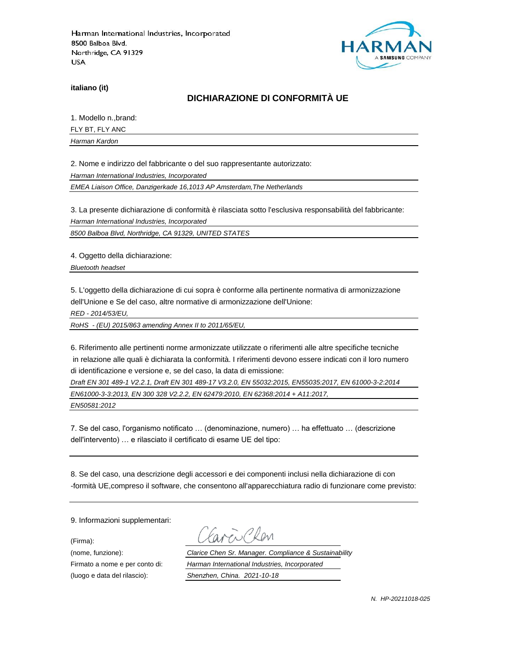

**italiano (it)**

## **DICHIARAZIONE DI CONFORMITÀ UE**

1. Modello n.,brand:

FLY BT, FLY ANC

*Harman Kardon*

2. Nome e indirizzo del fabbricante o del suo rappresentante autorizzato:

*Harman International Industries, Incorporated*

*EMEA Liaison Office, Danzigerkade 16,1013 AP Amsterdam,The Netherlands*

3. La presente dichiarazione di conformità è rilasciata sotto l'esclusiva responsabilità del fabbricante:

*Harman International Industries, Incorporated*

*8500 Balboa Blvd, Northridge, CA 91329, UNITED STATES*

4. Oggetto della dichiarazione:

*Bluetooth headset*

5. L'oggetto della dichiarazione di cui sopra è conforme alla pertinente normativa di armonizzazione dell'Unione e Se del caso, altre normative di armonizzazione dell'Unione:

*RED - 2014/53/EU,*

*RoHS - (EU) 2015/863 amending Annex II to 2011/65/EU,*

6. Riferimento alle pertinenti norme armonizzate utilizzate o riferimenti alle altre specifiche tecniche in relazione alle quali è dichiarata la conformità. I riferimenti devono essere indicati con il loro numero di identificazione e versione e, se del caso, la data di emissione:

*Draft EN 301 489-1 V2.2.1, Draft EN 301 489-17 V3.2.0, EN 55032:2015, EN55035:2017, EN 61000-3-2:2014 EN61000-3-3:2013, EN 300 328 V2.2.2, EN 62479:2010, EN 62368:2014 + A11:2017, EN50581:2012*

7. Se del caso, l'organismo notificato … (denominazione, numero) … ha effettuato … (descrizione dell'intervento) … e rilasciato il certificato di esame UE del tipo:

8. Se del caso, una descrizione degli accessori e dei componenti inclusi nella dichiarazione di con -formità UE,compreso il software, che consentono all'apparecchiatura radio di funzionare come previsto:

9. Informazioni supplementari:

(Firma):

(luogo e data del rilascio): *Shenzhen, China. 2021-10-18*

i Clan

(nome, funzione): *Clarice Chen Sr. Manager. Compliance & Sustainability* Firmato a nome e per conto di: *Harman International Industries, Incorporated*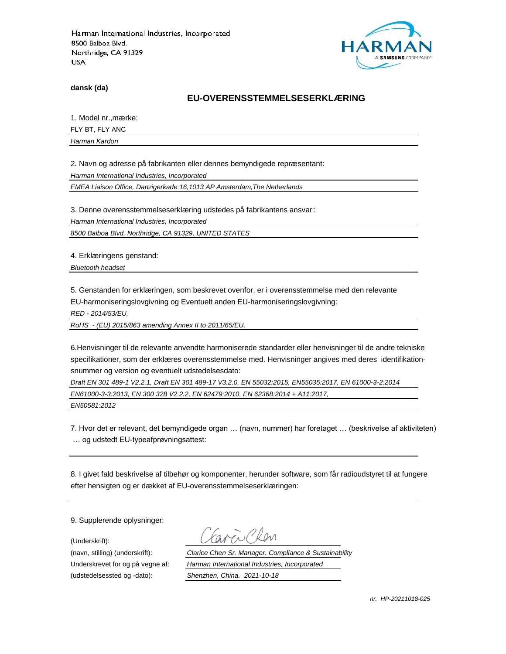

**dansk (da)**

#### **EU-OVERENSSTEMMELSESERKLÆ RING**

1. Model nr., mærke:

FLY BT, FLY ANC

*Harman Kardon*

2. Navn og adresse på fabrikanten eller dennes bemyndigede repræ sentant:

*Harman International Industries, Incorporated*

*EMEA Liaison Office, Danzigerkade 16,1013 AP Amsterdam,The Netherlands*

3. Denne overensstemmelseserklæring udstedes på fabrikantens ansvar:

*Harman International Industries, Incorporated*

*8500 Balboa Blvd, Northridge, CA 91329, UNITED STATES*

4. Erklæringens genstand:

*Bluetooth headset*

5. Genstanden for erklæringen, som beskrevet ovenfor, er i overensstemmelse med den relevante EU-harmoniseringslovgivning og Eventuelt anden EU-harmoniseringslovgivning:

*RED - 2014/53/EU,*

*RoHS - (EU) 2015/863 amending Annex II to 2011/65/EU,*

6.Henvisninger til de relevante anvendte harmoniserede standarder eller henvisninger til de andre tekniske specifikationer, som der erklæres overensstemmelse med. Henvisninger angives med deres identifikationsnummer og version og eventuelt udstedelsesdato:

*Draft EN 301 489-1 V2.2.1, Draft EN 301 489-17 V3.2.0, EN 55032:2015, EN55035:2017, EN 61000-3-2:2014 EN61000-3-3:2013, EN 300 328 V2.2.2, EN 62479:2010, EN 62368:2014 + A11:2017,* 

*EN50581:2012*

7. Hvor det er relevant, det bemyndigede organ … (navn, nummer) har foretaget … (beskrivelse af aktiviteten) … og udstedt EU-typeafprøvningsattest:

8. I givet fald beskrivelse af tilbehør og komponenter, herunder software, som får radioudstyret til at fungere efter hensigten og er dækket af EU-overensstemmelseserklæringen:

9. Supplerende oplysninger:

(Underskrift):

(udstedelsessted og -dato): *Shenzhen, China. 2021-10-18*

(navn, stilling) (underskrift): *Clarice Chen Sr. Manager. Compliance & Sustainability* Underskrevet for og på vegne af: *Harman International Industries, Incorporated*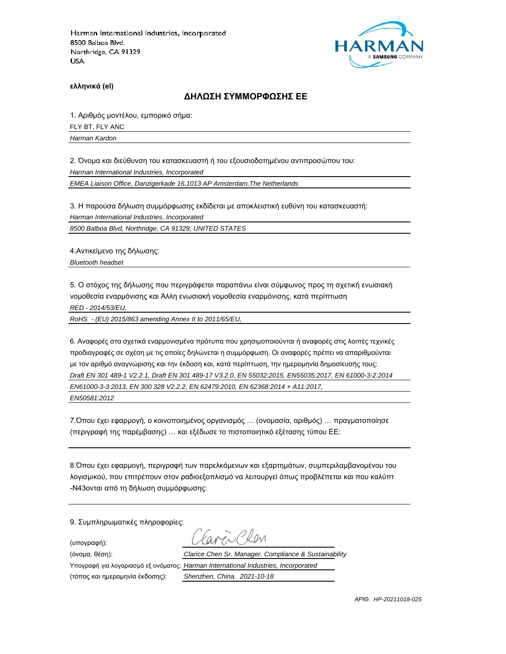

**ελληνικά (el)**

#### **ΔΗΛΩΣΗ ΣΥΜΜΟΡΦΩΣΗΣ ΕΕ**

1. Αριθμός μοντέλου, εμπορικό σήμα: FLY BT, FLY ANC

*Harman Kardon*

2. Όνομα και διεύθυνση του κατασκευαστή ή του εξουσιοδοτημένου αντιπροσώπου του:

*Harman International Industries, Incorporated*

*EMEA Liaison Office, Danzigerkade 16,1013 AP Amsterdam,The Netherlands*

3. Η παρούσα δήλωση συμμόρφωσης εκδίδεται με αποκλειστική ευθύνη του κατασκευαστή:

*Harman International Industries, Incorporated*

*8500 Balboa Blvd, Northridge, CA 91329, UNITED STATES*

4.Αντικείμενο της δήλωσης:

*Bluetooth headset*

5. Ο στόχος της δήλωσης που περιγράφεται παραπάνω είναι σύμφωνος προς τη σχετική ενωσιακή νομοθεσία εναρμόνισης και Άλλη ενωσιακή νομοθεσία εναρμόνισης, κατά περίπτωση

*RED - 2014/53/EU,*

*RoHS - (EU) 2015/863 amending Annex II to 2011/65/EU,*

6. Αναφορές στα σχετικά εναρμονισμένα πρότυπα που χρησιμοποιούνται ή αναφορές στις λοιπές τεχνικές προδιαγραφές σε σχέση με τις οποίες δηλώνεται η συμμόρφωση. Οι αναφορές πρέπει να απαριθμούνται με τον αριθμό αναγνώρισης και την έκδοση και, κατά περίπτωση, την ημερομηνία δημοσίευσής τους: *Draft EN 301 489-1 V2.2.1, Draft EN 301 489-17 V3.2.0, EN 55032:2015, EN55035:2017, EN 61000-3-2:2014 EN61000-3-3:2013, EN 300 328 V2.2.2, EN 62479:2010, EN 62368:2014 + A11:2017, EN50581:2012*

7.Όπου έχει εφαρμογή, ο κοινοποιημένος οργανισμός … (ονομασία, αριθμός) … πραγματοποίησε (περιγραφή της παρέμβασης) … και εξέδωσε το πιστοποιητικό εξέτασης τύπου ΕΕ:

8.Όπου έχει εφαρμογή, περιγραφή των παρελκόμενων και εξαρτημάτων, συμπεριλαμβανομένου του λογισμικού, που επιτρέπουν στον ραδιοεξοπλισμό να λειτουργεί όπως προβλέπεται και που καλύπτ -N43ονται από τη δήλωση συμμόρφωσης:

9. Συμπληρωματικές πληροφορίες:

(υπογραφή):

 $R_{\text{N}}$ (όνομα, θέση): *Clarice Chen Sr. Manager. Compliance & Sustainability* Υπογραφή για λογαριασμό εξ ονόματος: *Harman International Industries, Incorporated*

(τόπος και ημερομηνία έκδοσης): *Shenzhen, China. 2021-10-18*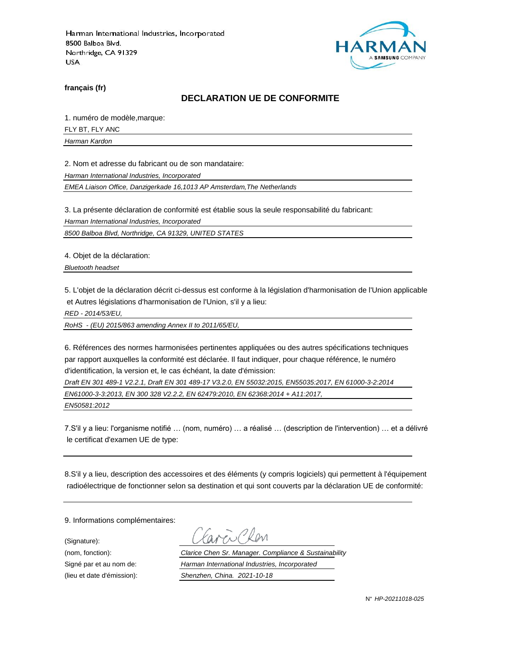

**français (fr)**

#### **DECLARATION UE DE CONFORMITE**

1. numéro de modèle,marque:

FLY BT, FLY ANC

*Harman Kardon*

2. Nom et adresse du fabricant ou de son mandataire:

*Harman International Industries, Incorporated*

*EMEA Liaison Office, Danzigerkade 16,1013 AP Amsterdam,The Netherlands*

3. La présente déclaration de conformité est établie sous la seule responsabilité du fabricant:

*Harman International Industries, Incorporated*

*8500 Balboa Blvd, Northridge, CA 91329, UNITED STATES*

4. Objet de la déclaration:

*Bluetooth headset*

5. L'objet de la déclaration décrit ci-dessus est conforme à la législation d'harmonisation de l'Union applicable et Autres législations d'harmonisation de l'Union, s'il y a lieu:

*RED - 2014/53/EU,*

*RoHS - (EU) 2015/863 amending Annex II to 2011/65/EU,*

6. Références des normes harmonisées pertinentes appliquées ou des autres spécifications techniques par rapport auxquelles la conformité est déclarée. Il faut indiquer, pour chaque référence, le numéro d'identification, la version et, le cas échéant, la date d'émission:

*Draft EN 301 489-1 V2.2.1, Draft EN 301 489-17 V3.2.0, EN 55032:2015, EN55035:2017, EN 61000-3-2:2014 EN61000-3-3:2013, EN 300 328 V2.2.2, EN 62479:2010, EN 62368:2014 + A11:2017,* 

*EN50581:2012*

7.S'il y a lieu: l'organisme notifié … (nom, numéro) … a réalisé … (description de l'intervention) … et a délivré le certificat d'examen UE de type:

8.S'il y a lieu, description des accessoires et des éléments (y compris logiciels) qui permettent à l'équipement radioélectrique de fonctionner selon sa destination et qui sont couverts par la déclaration UE de conformité:

9. Informations complémentaires:

(Signature):

(nom, fonction): *Clarice Chen Sr. Manager. Compliance & Sustainability* Signé par et au nom de: *Harman International Industries, Incorporated* (lieu et date d'émission): *Shenzhen, China. 2021-10-18*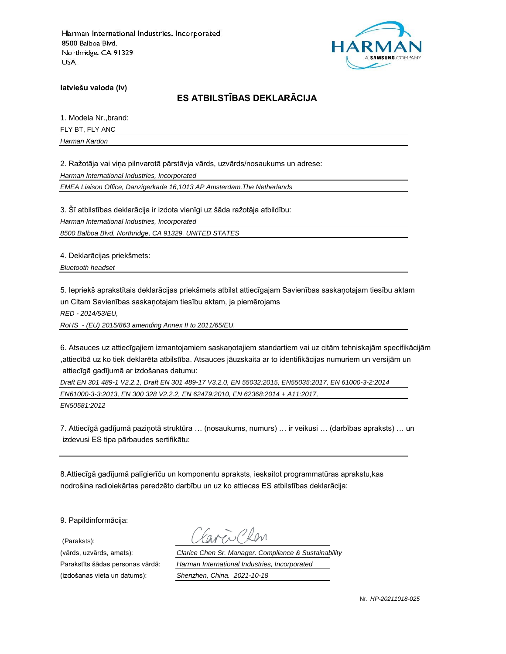

**latviešu valoda (lv)**

# **ES ATBILSTĪBAS DEKLARĀCIJA**

1. Modela Nr.,brand:

FLY BT, FLY ANC

*Harman Kardon*

2. Ražotāja vai viņa pilnvarotā pārstāvja vārds, uzvārds/nosaukums un adrese:

*Harman International Industries, Incorporated*

*EMEA Liaison Office, Danzigerkade 16,1013 AP Amsterdam,The Netherlands*

3. Šī atbilstības deklarācija ir izdota vienīgi uz šāda ražotāja atbildību:

*Harman International Industries, Incorporated*

*8500 Balboa Blvd, Northridge, CA 91329, UNITED STATES*

4. Deklarācijas priekšmets:

*Bluetooth headset*

5. Iepriekš aprakstītais deklarācijas priekšmets atbilst attiecīgajam Savienības saskaņotajam tiesību aktam un Citam Savienības saskaņotajam tiesību aktam, ja piemērojams

*RED - 2014/53/EU,*

*RoHS - (EU) 2015/863 amending Annex II to 2011/65/EU,*

6. Atsauces uz attiecīgajiem izmantojamiem saskaņotajiem standartiem vai uz citām tehniskajām specifikācijām ,attiecībā uz ko tiek deklarēta atbilstība. Atsauces jāuzskaita ar to identifikācijas numuriem un versijām un attiecīgā gadījumā ar izdošanas datumu:

*Draft EN 301 489-1 V2.2.1, Draft EN 301 489-17 V3.2.0, EN 55032:2015, EN55035:2017, EN 61000-3-2:2014 EN61000-3-3:2013, EN 300 328 V2.2.2, EN 62479:2010, EN 62368:2014 + A11:2017, EN50581:2012*

7. Attiecīgā gadījumā paziņotā struktūra … (nosaukums, numurs) … ir veikusi … (darbības apraksts) … un izdevusi ES tipa pārbaudes sertifikātu:

8.Attiecīgā gadījumā palīgierīču un komponentu apraksts, ieskaitot programmatūras aprakstu,kas nodrošina radioiekārtas paredzēto darbību un uz ko attiecas ES atbilstības deklarācija:

9. Papildinformācija:

(Paraksts):

(vārds, uzvārds, amats): *Clarice Chen Sr. Manager. Compliance & Sustainability* Parakstīts šādas personas vārdā: *Harman International Industries, Incorporated* (izdošanas vieta un datums): *Shenzhen, China. 2021-10-18*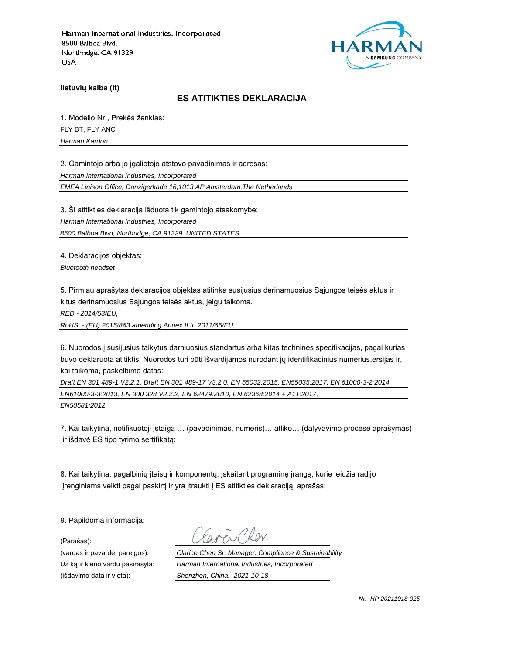

**lietuvių kalba (lt)**

### **ES ATITIKTIES DEKLARACIJA**

1. Modelio Nr., Prekės ženklas: FLY BT, FLY ANC *Harman Kardon*

2. Gamintojo arba jo įgaliotojo atstovo pavadinimas ir adresas:

*Harman International Industries, Incorporated*

*EMEA Liaison Office, Danzigerkade 16,1013 AP Amsterdam,The Netherlands*

3. Ši atitikties deklaracija išduota tik gamintojo atsakomybe:

*Harman International Industries, Incorporated*

*8500 Balboa Blvd, Northridge, CA 91329, UNITED STATES*

4. Deklaracijos objektas:

*Bluetooth headset*

5. Pirmiau aprašytas deklaracijos objektas atitinka susijusius derinamuosius Sąjungos teisės aktus ir kitus derinamuosius Sąjungos teisės aktus, jeigu taikoma.

*RED - 2014/53/EU,*

*RoHS - (EU) 2015/863 amending Annex II to 2011/65/EU,*

6. Nuorodos į susijusius taikytus darniuosius standartus arba kitas technines specifikacijas, pagal kurias buvo deklaruota atitiktis. Nuorodos turi būti išvardijamos nurodant jų identifikacinius numerius,ersijas ir, kai taikoma, paskelbimo datas:

*Draft EN 301 489-1 V2.2.1, Draft EN 301 489-17 V3.2.0, EN 55032:2015, EN55035:2017, EN 61000-3-2:2014 EN61000-3-3:2013, EN 300 328 V2.2.2, EN 62479:2010, EN 62368:2014 + A11:2017, EN50581:2012*

7. Kai taikytina, notifikuotoji įstaiga … (pavadinimas, numeris)… atliko… (dalyvavimo procese aprašymas) ir išdavė ES tipo tyrimo sertifikatą:

8. Kai taikytina, pagalbinių įtaisų ir komponentų, įskaitant programinę įrangą, kurie leidžia radijo įrenginiams veikti pagal paskirtį ir yra įtraukti į ES atitikties deklaraciją, aprašas:

9. Papildoma informacija:

(Parašas):

(vardas ir pavardė, pareigos): *Clarice Chen Sr. Manager. Compliance & Sustainability* Už ką ir kieno vardu pasirašyta: *Harman International Industries, Incorporated* (išdavimo data ir vieta): *Shenzhen, China. 2021-10-18*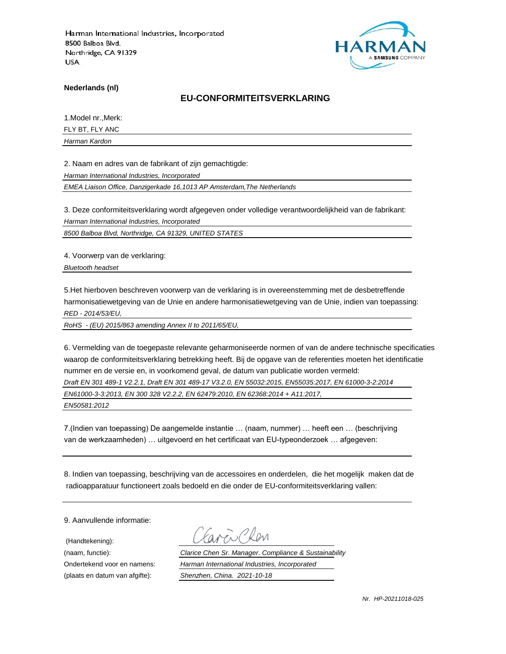

**Nederlands (nl)**

#### **EU-CONFORMITEITSVERKLARING**

1.Model nr.,Merk:

FLY BT, FLY ANC

*Harman Kardon*

2. Naam en adres van de fabrikant of zijn gemachtigde:

*Harman International Industries, Incorporated*

*EMEA Liaison Office, Danzigerkade 16,1013 AP Amsterdam,The Netherlands*

3. Deze conformiteitsverklaring wordt afgegeven onder volledige verantwoordelijkheid van de fabrikant:

*Harman International Industries, Incorporated*

*8500 Balboa Blvd, Northridge, CA 91329, UNITED STATES*

4. Voorwerp van de verklaring:

*Bluetooth headset*

5.Het hierboven beschreven voorwerp van de verklaring is in overeenstemming met de desbetreffende harmonisatiewetgeving van de Unie en andere harmonisatiewetgeving van de Unie, indien van toepassing: *RED - 2014/53/EU,*

*RoHS - (EU) 2015/863 amending Annex II to 2011/65/EU,*

6. Vermelding van de toegepaste relevante geharmoniseerde normen of van de andere technische specificaties waarop de conformiteitsverklaring betrekking heeft. Bij de opgave van de referenties moeten het identificatie nummer en de versie en, in voorkomend geval, de datum van publicatie worden vermeld:

*Draft EN 301 489-1 V2.2.1, Draft EN 301 489-17 V3.2.0, EN 55032:2015, EN55035:2017, EN 61000-3-2:2014*

*EN61000-3-3:2013, EN 300 328 V2.2.2, EN 62479:2010, EN 62368:2014 + A11:2017,* 

*EN50581:2012*

7.(Indien van toepassing) De aangemelde instantie … (naam, nummer) … heeft een … (beschrijving van de werkzaamheden) … uitgevoerd en het certificaat van EU-typeonderzoek … afgegeven:

8. Indien van toepassing, beschrijving van de accessoires en onderdelen, die het mogelijk maken dat de radioapparatuur functioneert zoals bedoeld en die onder de EU-conformiteitsverklaring vallen:

9. Aanvullende informatie:

(Handtekening):

(naam, functie): *Clarice Chen Sr. Manager. Compliance & Sustainability* Ondertekend voor en namens: *Harman International Industries, Incorporated* (plaats en datum van afgifte): *Shenzhen, China. 2021-10-18*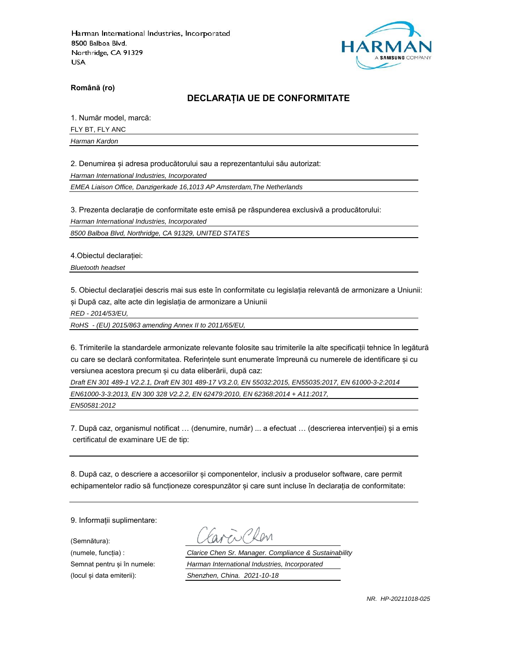

**Română (ro)**

### **DECLARAȚIA UE DE CONFORMITATE**

1. Număr model, marcă:

FLY BT, FLY ANC

*Harman Kardon*

2. Denumirea și adresa producătorului sau a reprezentantului său autorizat:

*Harman International Industries, Incorporated*

*EMEA Liaison Office, Danzigerkade 16,1013 AP Amsterdam,The Netherlands*

3. Prezenta declarație de conformitate este emisă pe răspunderea exclusivă a producătorului:

*Harman International Industries, Incorporated*

*8500 Balboa Blvd, Northridge, CA 91329, UNITED STATES*

4.Obiectul declarației:

*Bluetooth headset*

5. Obiectul declarației descris mai sus este în conformitate cu legislația relevantă de armonizare a Uniunii: și După caz, alte acte din legislația de armonizare a Uniunii

*RED - 2014/53/EU,*

*RoHS - (EU) 2015/863 amending Annex II to 2011/65/EU,*

6. Trimiterile la standardele armonizate relevante folosite sau trimiterile la alte specificații tehnice în legătură cu care se declară conformitatea. Referințele sunt enumerate împreună cu numerele de identificare și cu versiunea acestora precum și cu data eliberării, după caz:

*Draft EN 301 489-1 V2.2.1, Draft EN 301 489-17 V3.2.0, EN 55032:2015, EN55035:2017, EN 61000-3-2:2014 EN61000-3-3:2013, EN 300 328 V2.2.2, EN 62479:2010, EN 62368:2014 + A11:2017,* 

*EN50581:2012*

7. După caz, organismul notificat … (denumire, număr) ... a efectuat … (descrierea intervenției) și a emis certificatul de examinare UE de tip:

8. După caz, o descriere a accesoriilor și componentelor, inclusiv a produselor software, care permit echipamentelor radio să funcționeze corespunzător și care sunt incluse în declarația de conformitate:

9. Informații suplimentare:

(Semnătura):

(numele, funcția) : *Clarice Chen Sr. Manager. Compliance & Sustainability* Semnat pentru și în numele: *Harman International Industries, Incorporated* (locul și data emiterii): *Shenzhen, China. 2021-10-18*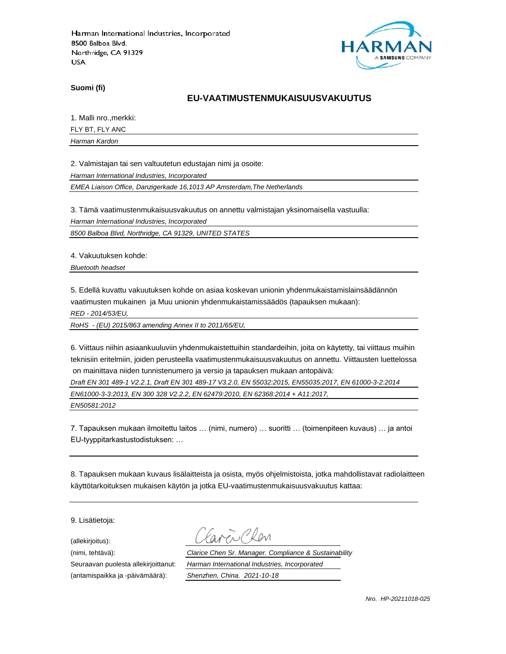

**Suomi (fi)**

#### **EU-VAATIMUSTENMUKAISUUSVAKUUTUS**

1. Malli nro.,merkki:

FLY BT, FLY ANC

*Harman Kardon*

2. Valmistajan tai sen valtuutetun edustajan nimi ja osoite:

*Harman International Industries, Incorporated*

*EMEA Liaison Office, Danzigerkade 16,1013 AP Amsterdam,The Netherlands*

3. Tämä vaatimustenmukaisuusvakuutus on annettu valmistajan yksinomaisella vastuulla:

*Harman International Industries, Incorporated*

*8500 Balboa Blvd, Northridge, CA 91329, UNITED STATES*

4. Vakuutuksen kohde:

*Bluetooth headset*

5. Edellä kuvattu vakuutuksen kohde on asiaa koskevan unionin yhdenmukaistamislainsäädännön vaatimusten mukainen ja Muu unionin yhdenmukaistamissäädös (tapauksen mukaan):

*RED - 2014/53/EU,*

*RoHS - (EU) 2015/863 amending Annex II to 2011/65/EU,*

6. Viittaus niihin asiaankuuluviin yhdenmukaistettuihin standardeihin, joita on käytetty, tai viittaus muihin teknisiin eritelmiin, joiden perusteella vaatimustenmukaisuusvakuutus on annettu. Viittausten luettelossa on mainittava niiden tunnistenumero ja versio ja tapauksen mukaan antopäivä:

*Draft EN 301 489-1 V2.2.1, Draft EN 301 489-17 V3.2.0, EN 55032:2015, EN55035:2017, EN 61000-3-2:2014*

*EN61000-3-3:2013, EN 300 328 V2.2.2, EN 62479:2010, EN 62368:2014 + A11:2017,* 

*EN50581:2012*

7. Tapauksen mukaan ilmoitettu laitos … (nimi, numero) … suoritti … (toimenpiteen kuvaus) … ja antoi EU-tyyppitarkastustodistuksen: …

8. Tapauksen mukaan kuvaus lisälaitteista ja osista, myös ohjelmistoista, jotka mahdollistavat radiolaitteen käyttötarkoituksen mukaisen käytön ja jotka EU-vaatimustenmukaisuusvakuutus kattaa:

9. Lisätietoja:

(allekirjoitus):

(antamispaikka ja -päivämäärä): *Shenzhen, China. 2021-10-18*

(nimi, tehtävä): *Clarice Chen Sr. Manager. Compliance & Sustainability* Seuraavan puolesta allekirjoittanut: *Harman International Industries, Incorporated*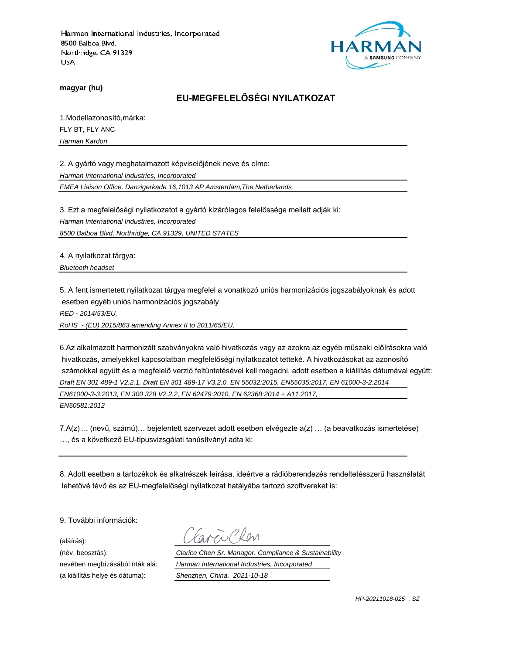

**magyar (hu)**

# **EU-MEGFELELŐSÉGI NYILATKOZAT**

1.Modellazonosító,márka:

FLY BT, FLY ANC

*Harman Kardon*

2. A gyártó vagy meghatalmazott képviselőjének neve és címe:

*Harman International Industries, Incorporated*

*EMEA Liaison Office, Danzigerkade 16,1013 AP Amsterdam,The Netherlands*

3. Ezt a megfelelőségi nyilatkozatot a gyártó kizárólagos felelőssége mellett adják ki:

*Harman International Industries, Incorporated*

*8500 Balboa Blvd, Northridge, CA 91329, UNITED STATES*

4. A nyilatkozat tárgya:

*Bluetooth headset*

5. A fent ismertetett nyilatkozat tárgya megfelel a vonatkozó uniós harmonizációs jogszabályoknak és adott esetben egyéb uniós harmonizációs jogszabály

*RED - 2014/53/EU,*

*RoHS - (EU) 2015/863 amending Annex II to 2011/65/EU,*

6.Az alkalmazott harmonizált szabványokra való hivatkozás vagy az azokra az egyéb műszaki előírásokra való hivatkozás, amelyekkel kapcsolatban megfelelőségi nyilatkozatot tetteké. A hivatkozásokat az azonosító számokkal együtt és a megfelelő verzió feltüntetésével kell megadni, adott esetben a kiállítás dátumával együtt: *Draft EN 301 489-1 V2.2.1, Draft EN 301 489-17 V3.2.0, EN 55032:2015, EN55035:2017, EN 61000-3-2:2014 EN61000-3-3:2013, EN 300 328 V2.2.2, EN 62479:2010, EN 62368:2014 + A11:2017, EN50581:2012*

7.A(z) ... (nevű, számú)… bejelentett szervezet adott esetben elvégezte a(z) … (a beavatkozás ismertetése) …, és a következő EU-típusvizsgálati tanúsítványt adta ki:

8. Adott esetben a tartozékok és alkatrészek leírása, ideértve a rádióberendezés rendeltetésszerű használatát lehetővé tévő és az EU-megfelelőségi nyilatkozat hatályába tartozó szoftvereket is:

9. További információk:

(aláírás):

(a kiállítás helye és dátuma): *Shenzhen, China. 2021-10-18*

(név, beosztás): *Clarice Chen Sr. Manager. Compliance & Sustainability* nevében megbízásából írták alá: *Harman International Industries, Incorporated*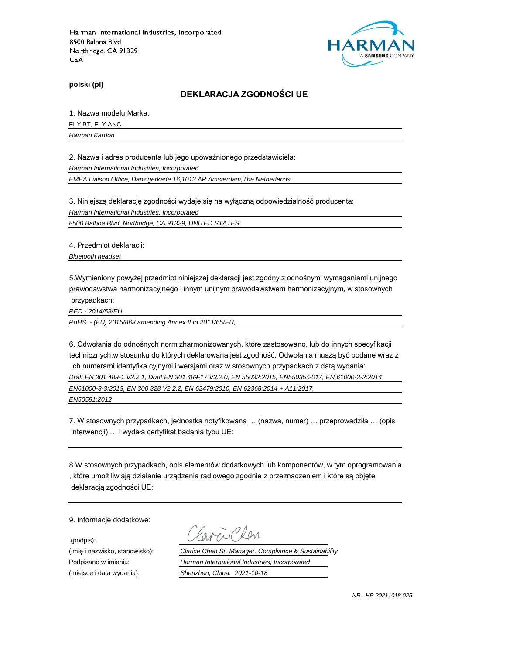

**polski (pl)**

#### **DEKLARACJA ZGODNOŚCI UE**

1. Nazwa modelu,Marka:

FLY BT, FLY ANC

*Harman Kardon*

2. Nazwa i adres producenta lub jego upoważnionego przedstawiciela:

*Harman International Industries, Incorporated*

*EMEA Liaison Office, Danzigerkade 16,1013 AP Amsterdam,The Netherlands*

3. Niniejszą deklarację zgodności wydaje się na wyłączną odpowiedzialność producenta:

*Harman International Industries, Incorporated*

*8500 Balboa Blvd, Northridge, CA 91329, UNITED STATES*

4. Przedmiot deklaracji:

*Bluetooth headset*

5.Wymieniony powyżej przedmiot niniejszej deklaracji jest zgodny z odnośnymi wymaganiami unijnego prawodawstwa harmonizacyjnego i innym unijnym prawodawstwem harmonizacyjnym, w stosownych przypadkach:

*RED - 2014/53/EU,*

*RoHS - (EU) 2015/863 amending Annex II to 2011/65/EU,*

6. Odwołania do odnośnych norm zharmonizowanych, które zastosowano, lub do innych specyfikacji technicznych,w stosunku do których deklarowana jest zgodność. Odwołania muszą być podane wraz z ich numerami identyfika cyjnymi i wersjami oraz w stosownych przypadkach z datą wydania: *Draft EN 301 489-1 V2.2.1, Draft EN 301 489-17 V3.2.0, EN 55032:2015, EN55035:2017, EN 61000-3-2:2014 EN61000-3-3:2013, EN 300 328 V2.2.2, EN 62479:2010, EN 62368:2014 + A11:2017,* 

*EN50581:2012*

7. W stosownych przypadkach, jednostka notyfikowana … (nazwa, numer) … przeprowadziła … (opis interwencji) … i wydała certyfikat badania typu UE:

8.W stosownych przypadkach, opis elementów dodatkowych lub komponentów, w tym oprogramowania , które umoż liwiają działanie urządzenia radiowego zgodnie z przeznaczeniem i które są objęte deklaracją zgodności UE:

9. Informacje dodatkowe:

(podpis):

(imię i nazwisko, stanowisko): *Clarice Chen Sr. Manager. Compliance & Sustainability* Podpisano w imieniu: *Harman International Industries, Incorporated* (miejsce i data wydania): *Shenzhen, China. 2021-10-18*

*NR. HP-20211018-025*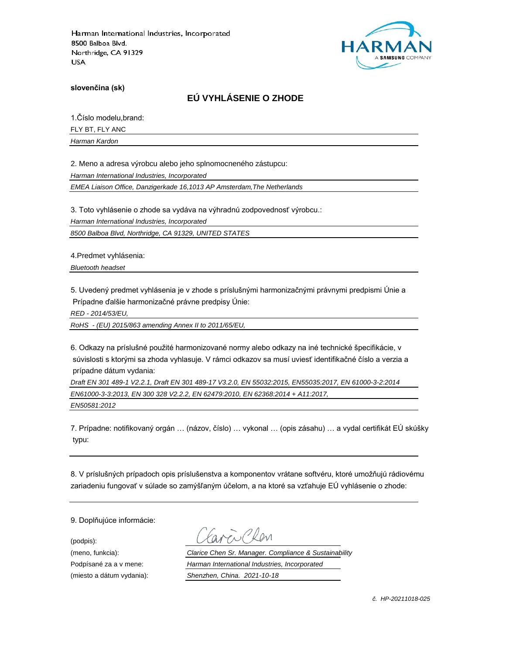

**slovenčina (sk)**

# **EÚ VYHLÁSENIE O ZHODE**

1.Číslo modelu,brand:

FLY BT, FLY ANC

*Harman Kardon*

2. Meno a adresa výrobcu alebo jeho splnomocneného zástupcu:

*Harman International Industries, Incorporated*

*EMEA Liaison Office, Danzigerkade 16,1013 AP Amsterdam,The Netherlands*

3. Toto vyhlásenie o zhode sa vydáva na výhradnú zodpovednosť výrobcu.:

*Harman International Industries, Incorporated*

*8500 Balboa Blvd, Northridge, CA 91329, UNITED STATES*

4.Predmet vyhlásenia:

*Bluetooth headset*

5. Uvedený predmet vyhlásenia je v zhode s príslušnými harmonizačnými právnymi predpismi Únie a Prípadne ďalšie harmonizačné právne predpisy Únie:

*RED - 2014/53/EU,*

*RoHS - (EU) 2015/863 amending Annex II to 2011/65/EU,*

6. Odkazy na príslušné použité harmonizované normy alebo odkazy na iné technické špecifikácie, v súvislosti s ktorými sa zhoda vyhlasuje. V rámci odkazov sa musí uviesť identifikačné číslo a verzia a prípadne dátum vydania:

*Draft EN 301 489-1 V2.2.1, Draft EN 301 489-17 V3.2.0, EN 55032:2015, EN55035:2017, EN 61000-3-2:2014 EN61000-3-3:2013, EN 300 328 V2.2.2, EN 62479:2010, EN 62368:2014 + A11:2017, EN50581:2012*

7. Prípadne: notifikovaný orgán … (názov, číslo) … vykonal … (opis zásahu) … a vydal certifikát EÚ skúšky typu:

8. V príslušných prípadoch opis príslušenstva a komponentov vrátane softvéru, ktoré umožňujú rádiovému zariadeniu fungovať v súlade so zamýšľaným účelom, a na ktoré sa vzťahuje EÚ vyhlásenie o zhode:

9. Doplňujúce informácie:

(podpis):

(meno, funkcia): *Clarice Chen Sr. Manager. Compliance & Sustainability* Podpísané za a v mene: *Harman International Industries, Incorporated* (miesto a dátum vydania): *Shenzhen, China. 2021-10-18*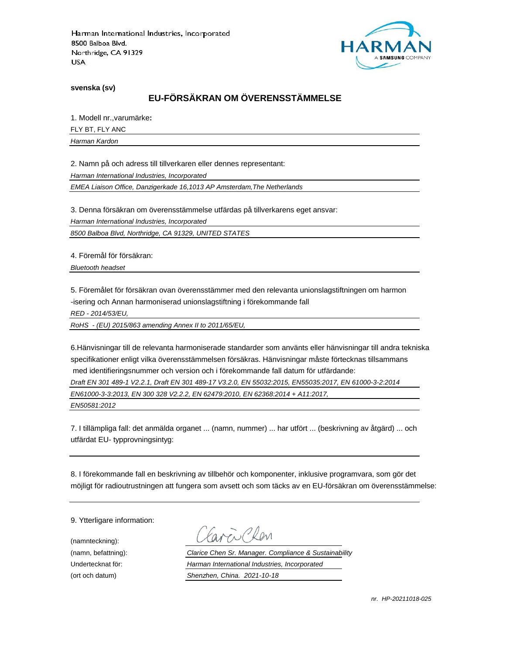

**svenska (sv)**

# **EU-FÖRSÄKRAN OM ÖVERENSSTÄMMELSE**

1. Modell nr.,varumärke**:**

FLY BT, FLY ANC

*Harman Kardon*

2. Namn på och adress till tillverkaren eller dennes representant:

*Harman International Industries, Incorporated*

*EMEA Liaison Office, Danzigerkade 16,1013 AP Amsterdam,The Netherlands*

3. Denna försäkran om överensstämmelse utfärdas på tillverkarens eget ansvar:

*Harman International Industries, Incorporated*

*8500 Balboa Blvd, Northridge, CA 91329, UNITED STATES*

4. Föremål för försäkran:

*Bluetooth headset*

5. Föremålet för försäkran ovan överensstämmer med den relevanta unionslagstiftningen om harmon -isering och Annan harmoniserad unionslagstiftning i förekommande fall

*RED - 2014/53/EU,*

*RoHS - (EU) 2015/863 amending Annex II to 2011/65/EU,*

6.Hänvisningar till de relevanta harmoniserade standarder som använts eller hänvisningar till andra tekniska specifikationer enligt vilka överensstämmelsen försäkras. Hänvisningar måste förtecknas tillsammans med identifieringsnummer och version och i förekommande fall datum för utfärdande:

*Draft EN 301 489-1 V2.2.1, Draft EN 301 489-17 V3.2.0, EN 55032:2015, EN55035:2017, EN 61000-3-2:2014*

*EN61000-3-3:2013, EN 300 328 V2.2.2, EN 62479:2010, EN 62368:2014 + A11:2017,* 

*EN50581:2012*

7. I tillämpliga fall: det anmälda organet ... (namn, nummer) ... har utfört ... (beskrivning av åtgärd) ... och utfärdat EU- typprovningsintyg:

8. I förekommande fall en beskrivning av tillbehör och komponenter, inklusive programvara, som gör det möjligt för radioutrustningen att fungera som avsett och som täcks av en EU-försäkran om överensstämmelse:

9. Ytterligare information:

(namnteckning):

EN Plen

(namn, befattning): *Clarice Chen Sr. Manager. Compliance & Sustainability* Undertecknat för: *Harman International Industries, Incorporated* (ort och datum) *Shenzhen, China. 2021-10-18*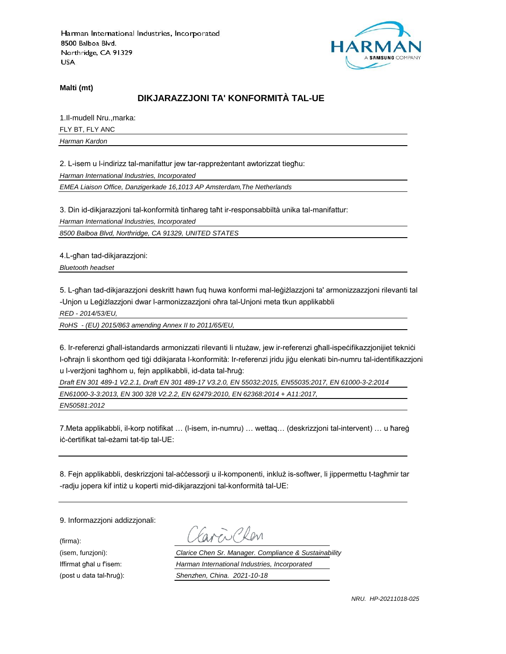

**Malti (mt)**

## **DIKJARAZZJONI TA' KONFORMITÀ TAL-UE**

1.Il-mudell Nru.,marka: FLY BT, FLY ANC *Harman Kardon*

2. L-isem u l-indirizz tal-manifattur jew tar-rappreżentant awtorizzat tiegħu:

*Harman International Industries, Incorporated*

*EMEA Liaison Office, Danzigerkade 16,1013 AP Amsterdam,The Netherlands*

3. Din id-dikjarazzjoni tal-konformità tinħareg taħt ir-responsabbiltà unika tal-manifattur:

*Harman International Industries, Incorporated*

*8500 Balboa Blvd, Northridge, CA 91329, UNITED STATES*

4.L-għan tad-dikjarazzjoni:

*Bluetooth headset*

5. L-għan tad-dikjarazzjoni deskritt hawn fuq huwa konformi mal-leġiżlazzjoni ta' armonizzazzjoni rilevanti tal -Unjon u Leġiżlazzjoni dwar l-armonizzazzjoni oħra tal-Unjoni meta tkun applikabbli

*RED - 2014/53/EU,*

*RoHS - (EU) 2015/863 amending Annex II to 2011/65/EU,*

6. Ir-referenzi għall-istandards armonizzati rilevanti li ntużaw, jew ir-referenzi għall-ispeċifikazzjonijiet tekniċi l-oħrajn li skonthom qed tiġi ddikjarata l-konformità: Ir-referenzi jridu jiġu elenkati bin-numru tal-identifikazzjoni u l-verżjoni tagħhom u, fejn applikabbli, id-data tal-ħruġ:

*Draft EN 301 489-1 V2.2.1, Draft EN 301 489-17 V3.2.0, EN 55032:2015, EN55035:2017, EN 61000-3-2:2014 EN61000-3-3:2013, EN 300 328 V2.2.2, EN 62479:2010, EN 62368:2014 + A11:2017,* 

*EN50581:2012*

7.Meta applikabbli, il-korp notifikat … (l-isem, in-numru) … wettaq… (deskrizzjoni tal-intervent) … u ħareġ iċ-ċertifikat tal-eżami tat-tip tal-UE:

8. Fejn applikabbli, deskrizzjoni tal-aċċessorji u il-komponenti, inkluż is-softwer, li jippermettu t-tagħmir tar -radju jopera kif intiż u koperti mid-dikjarazzjoni tal-konformità tal-UE:

9. Informazzjoni addizzjonali:

(firma):

ENPROM

(isem, funzjoni): *Clarice Chen Sr. Manager. Compliance & Sustainability* Iffirmat għal u f'isem: *Harman International Industries, Incorporated* (post u data tal-ħruġ): *Shenzhen, China. 2021-10-18*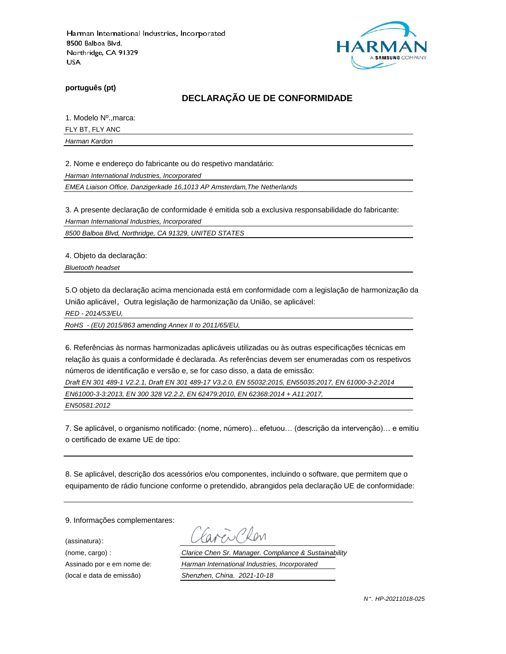

**português (pt)**

# **DECLARAÇÃO UE DE CONFORMIDADE**

1. Modelo Nº.,marca:

FLY BT, FLY ANC

*Harman Kardon*

2. Nome e endereço do fabricante ou do respetivo mandatário:

*Harman International Industries, Incorporated*

*EMEA Liaison Office, Danzigerkade 16,1013 AP Amsterdam,The Netherlands*

3. A presente declaração de conformidade é emitida sob a exclusiva responsabilidade do fabricante:

*Harman International Industries, Incorporated*

*8500 Balboa Blvd, Northridge, CA 91329, UNITED STATES*

4. Objeto da declaração:

*Bluetooth headset*

5.O objeto da declaração acima mencionada está em conformidade com a legislação de harmonização da União aplicável, Outra legislação de harmonização da União, se aplicável:

*RED - 2014/53/EU,*

*RoHS - (EU) 2015/863 amending Annex II to 2011/65/EU,*

6. Referências às normas harmonizadas aplicáveis utilizadas ou às outras especificações técnicas em relação às quais a conformidade é declarada. As referências devem ser enumeradas com os respetivos números de identificação e versão e, se for caso disso, a data de emissão:

*Draft EN 301 489-1 V2.2.1, Draft EN 301 489-17 V3.2.0, EN 55032:2015, EN55035:2017, EN 61000-3-2:2014 EN61000-3-3:2013, EN 300 328 V2.2.2, EN 62479:2010, EN 62368:2014 + A11:2017,* 

*EN50581:2012*

7. Se aplicável, o organismo notificado: (nome, número)... efetuou… (descrição da intervenção)… e emitiu o certificado de exame UE de tipo:

8. Se aplicável, descrição dos acessórios e/ou componentes, incluindo o software, que permitem que o equipamento de rádio funcione conforme o pretendido, abrangidos pela declaração UE de conformidade:

9. Informações complementares:

(assinatura):

ENCRON

(nome, cargo) : *Clarice Chen Sr. Manager. Compliance & Sustainability* Assinado por e em nome de: *Harman International Industries, Incorporated* (local e data de emissão) *Shenzhen, China. 2021-10-18*